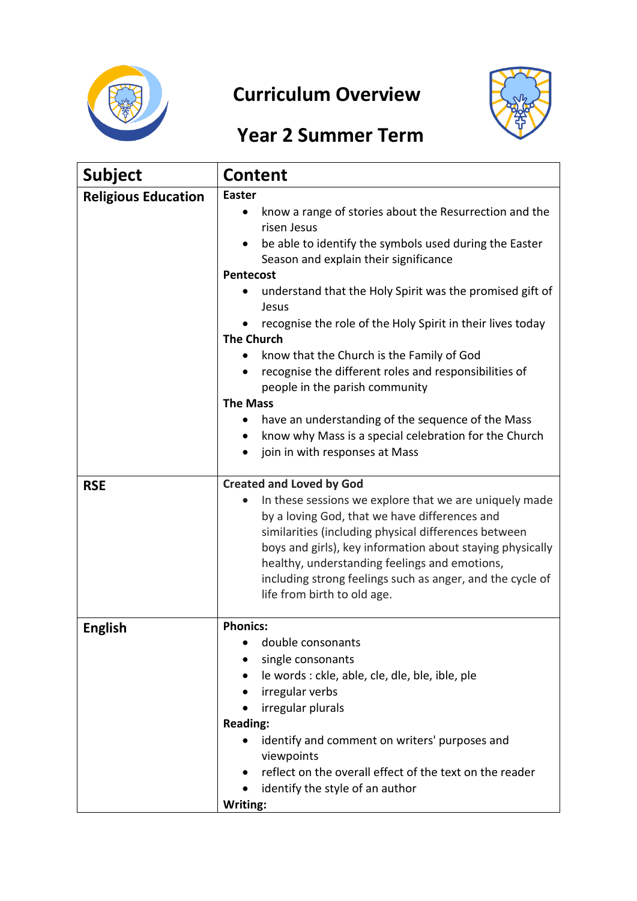

## **Curriculum Overview**



## **Year 2 Summer Term**

| <b>Subject</b>             | <b>Content</b>                                                                                                                                                                                                                                                                                                                                                                                                                                                                                                                                                                                                                                                                                               |  |  |
|----------------------------|--------------------------------------------------------------------------------------------------------------------------------------------------------------------------------------------------------------------------------------------------------------------------------------------------------------------------------------------------------------------------------------------------------------------------------------------------------------------------------------------------------------------------------------------------------------------------------------------------------------------------------------------------------------------------------------------------------------|--|--|
| <b>Religious Education</b> | <b>Easter</b><br>know a range of stories about the Resurrection and the<br>$\bullet$<br>risen Jesus<br>be able to identify the symbols used during the Easter<br>٠<br>Season and explain their significance<br><b>Pentecost</b><br>understand that the Holy Spirit was the promised gift of<br>Jesus<br>recognise the role of the Holy Spirit in their lives today<br><b>The Church</b><br>know that the Church is the Family of God<br>recognise the different roles and responsibilities of<br>٠<br>people in the parish community<br><b>The Mass</b><br>have an understanding of the sequence of the Mass<br>know why Mass is a special celebration for the Church<br>٠<br>join in with responses at Mass |  |  |
| <b>RSE</b>                 | <b>Created and Loved by God</b><br>In these sessions we explore that we are uniquely made<br>by a loving God, that we have differences and<br>similarities (including physical differences between<br>boys and girls), key information about staying physically<br>healthy, understanding feelings and emotions,<br>including strong feelings such as anger, and the cycle of<br>life from birth to old age.                                                                                                                                                                                                                                                                                                 |  |  |
| <b>English</b>             | <b>Phonics:</b><br>double consonants<br>single consonants<br>le words : ckle, able, cle, dle, ble, ible, ple<br>irregular verbs<br>irregular plurals<br><b>Reading:</b><br>identify and comment on writers' purposes and<br>viewpoints<br>reflect on the overall effect of the text on the reader<br>identify the style of an author<br>Writing:                                                                                                                                                                                                                                                                                                                                                             |  |  |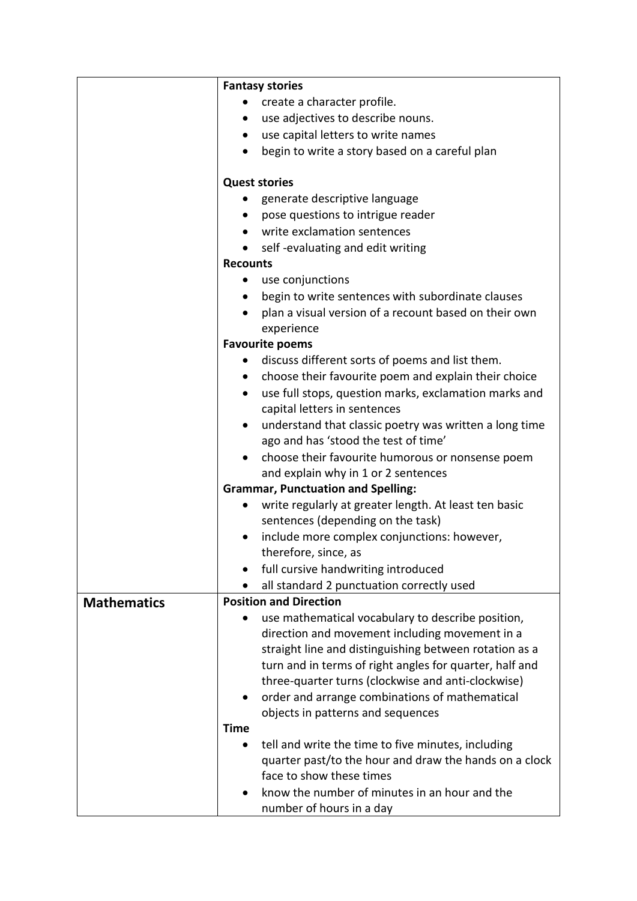|                    | <b>Fantasy stories</b>                                              |  |  |  |
|--------------------|---------------------------------------------------------------------|--|--|--|
|                    | create a character profile.                                         |  |  |  |
|                    | use adjectives to describe nouns.<br>٠                              |  |  |  |
|                    | use capital letters to write names                                  |  |  |  |
|                    | begin to write a story based on a careful plan                      |  |  |  |
|                    |                                                                     |  |  |  |
|                    | <b>Quest stories</b>                                                |  |  |  |
|                    | generate descriptive language<br>$\bullet$                          |  |  |  |
|                    | pose questions to intrigue reader                                   |  |  |  |
|                    | write exclamation sentences                                         |  |  |  |
|                    | self-evaluating and edit writing                                    |  |  |  |
|                    | <b>Recounts</b><br>use conjunctions                                 |  |  |  |
|                    |                                                                     |  |  |  |
|                    | begin to write sentences with subordinate clauses                   |  |  |  |
|                    | plan a visual version of a recount based on their own<br>$\bullet$  |  |  |  |
|                    | experience                                                          |  |  |  |
|                    | <b>Favourite poems</b>                                              |  |  |  |
|                    | discuss different sorts of poems and list them.                     |  |  |  |
|                    | choose their favourite poem and explain their choice<br>$\bullet$   |  |  |  |
|                    | use full stops, question marks, exclamation marks and<br>$\bullet$  |  |  |  |
|                    | capital letters in sentences                                        |  |  |  |
|                    | understand that classic poetry was written a long time<br>$\bullet$ |  |  |  |
|                    | ago and has 'stood the test of time'                                |  |  |  |
|                    | choose their favourite humorous or nonsense poem                    |  |  |  |
|                    | and explain why in 1 or 2 sentences                                 |  |  |  |
|                    | <b>Grammar, Punctuation and Spelling:</b>                           |  |  |  |
|                    | write regularly at greater length. At least ten basic<br>$\bullet$  |  |  |  |
|                    | sentences (depending on the task)                                   |  |  |  |
|                    | include more complex conjunctions: however,                         |  |  |  |
|                    | therefore, since, as                                                |  |  |  |
|                    | full cursive handwriting introduced                                 |  |  |  |
|                    | all standard 2 punctuation correctly used                           |  |  |  |
| <b>Mathematics</b> | <b>Position and Direction</b>                                       |  |  |  |
|                    | use mathematical vocabulary to describe position,                   |  |  |  |
|                    | direction and movement including movement in a                      |  |  |  |
|                    | straight line and distinguishing between rotation as a              |  |  |  |
|                    | turn and in terms of right angles for quarter, half and             |  |  |  |
|                    | three-quarter turns (clockwise and anti-clockwise)                  |  |  |  |
|                    | order and arrange combinations of mathematical                      |  |  |  |
|                    | objects in patterns and sequences                                   |  |  |  |
|                    | <b>Time</b>                                                         |  |  |  |
|                    | tell and write the time to five minutes, including                  |  |  |  |
|                    | quarter past/to the hour and draw the hands on a clock              |  |  |  |
|                    | face to show these times                                            |  |  |  |
|                    | know the number of minutes in an hour and the                       |  |  |  |
|                    | number of hours in a day                                            |  |  |  |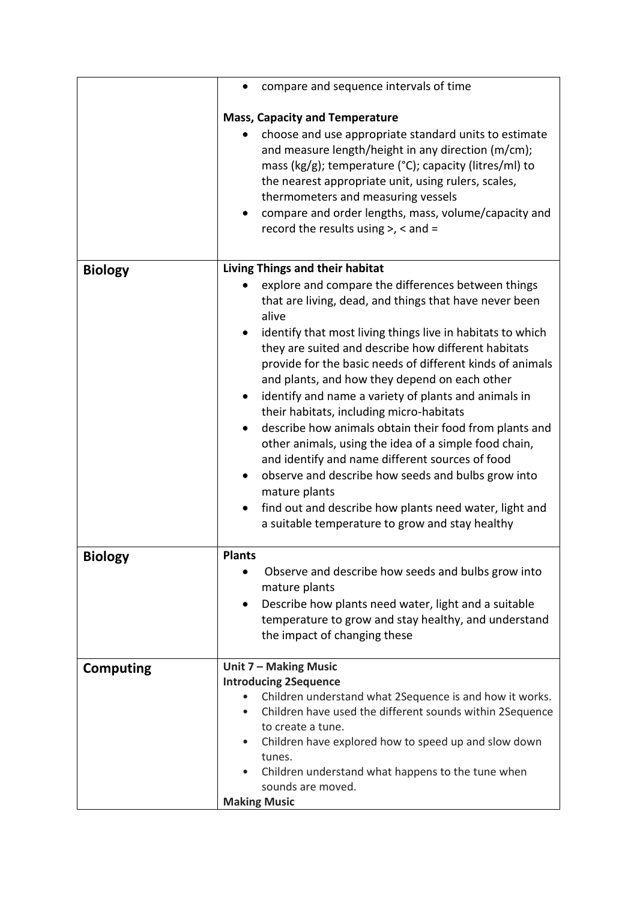|                  | compare and sequence intervals of time                                                                                                                                                                                                                                                                                                                                                                                                                                                                                                                                                                                                                                                                          |
|------------------|-----------------------------------------------------------------------------------------------------------------------------------------------------------------------------------------------------------------------------------------------------------------------------------------------------------------------------------------------------------------------------------------------------------------------------------------------------------------------------------------------------------------------------------------------------------------------------------------------------------------------------------------------------------------------------------------------------------------|
|                  | <b>Mass, Capacity and Temperature</b>                                                                                                                                                                                                                                                                                                                                                                                                                                                                                                                                                                                                                                                                           |
|                  | choose and use appropriate standard units to estimate<br>and measure length/height in any direction (m/cm);<br>mass (kg/g); temperature (°C); capacity (litres/ml) to<br>the nearest appropriate unit, using rulers, scales,<br>thermometers and measuring vessels<br>compare and order lengths, mass, volume/capacity and<br>record the results using $>$ , < and =                                                                                                                                                                                                                                                                                                                                            |
| <b>Biology</b>   | Living Things and their habitat                                                                                                                                                                                                                                                                                                                                                                                                                                                                                                                                                                                                                                                                                 |
|                  | explore and compare the differences between things<br>that are living, dead, and things that have never been<br>alive                                                                                                                                                                                                                                                                                                                                                                                                                                                                                                                                                                                           |
|                  | identify that most living things live in habitats to which<br>they are suited and describe how different habitats<br>provide for the basic needs of different kinds of animals<br>and plants, and how they depend on each other<br>identify and name a variety of plants and animals in<br>their habitats, including micro-habitats<br>describe how animals obtain their food from plants and<br>other animals, using the idea of a simple food chain,<br>and identify and name different sources of food<br>observe and describe how seeds and bulbs grow into<br>٠<br>mature plants<br>find out and describe how plants need water, light and<br>$\bullet$<br>a suitable temperature to grow and stay healthy |
| <b>Biology</b>   | <b>Plants</b><br>Observe and describe how seeds and bulbs grow into<br>$\bullet$                                                                                                                                                                                                                                                                                                                                                                                                                                                                                                                                                                                                                                |
|                  | mature plants                                                                                                                                                                                                                                                                                                                                                                                                                                                                                                                                                                                                                                                                                                   |
|                  | Describe how plants need water, light and a suitable<br>٠<br>temperature to grow and stay healthy, and understand<br>the impact of changing these                                                                                                                                                                                                                                                                                                                                                                                                                                                                                                                                                               |
| <b>Computing</b> | Unit 7 - Making Music                                                                                                                                                                                                                                                                                                                                                                                                                                                                                                                                                                                                                                                                                           |
|                  | <b>Introducing 2Sequence</b><br>Children understand what 2Sequence is and how it works.<br>$\bullet$<br>Children have used the different sounds within 2Sequence<br>٠<br>to create a tune.<br>Children have explored how to speed up and slow down<br>$\bullet$<br>tunes.<br>Children understand what happens to the tune when<br>sounds are moved.                                                                                                                                                                                                                                                                                                                                                             |
|                  | <b>Making Music</b>                                                                                                                                                                                                                                                                                                                                                                                                                                                                                                                                                                                                                                                                                             |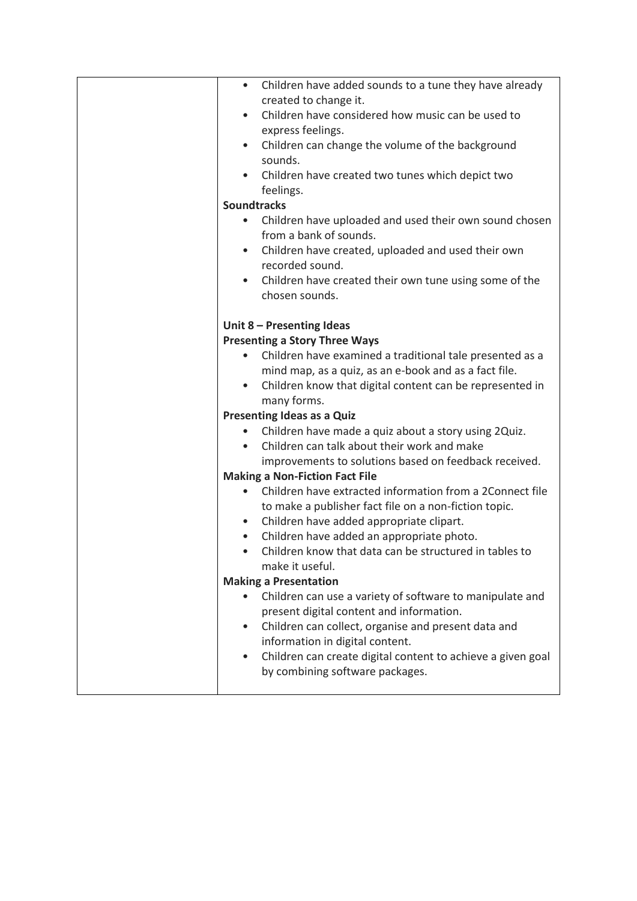| $\bullet$ | Children have added sounds to a tune they have already      |  |  |  |  |
|-----------|-------------------------------------------------------------|--|--|--|--|
|           | created to change it.                                       |  |  |  |  |
|           | Children have considered how music can be used to           |  |  |  |  |
|           | express feelings.                                           |  |  |  |  |
| $\bullet$ | Children can change the volume of the background            |  |  |  |  |
|           | sounds.                                                     |  |  |  |  |
| $\bullet$ | Children have created two tunes which depict two            |  |  |  |  |
|           | feelings.                                                   |  |  |  |  |
|           | <b>Soundtracks</b>                                          |  |  |  |  |
| $\bullet$ | Children have uploaded and used their own sound chosen      |  |  |  |  |
|           | from a bank of sounds.                                      |  |  |  |  |
| $\bullet$ | Children have created, uploaded and used their own          |  |  |  |  |
|           | recorded sound.                                             |  |  |  |  |
|           | Children have created their own tune using some of the      |  |  |  |  |
|           | chosen sounds.                                              |  |  |  |  |
|           |                                                             |  |  |  |  |
|           | Unit 8 - Presenting Ideas                                   |  |  |  |  |
|           | <b>Presenting a Story Three Ways</b>                        |  |  |  |  |
|           | Children have examined a traditional tale presented as a    |  |  |  |  |
|           | mind map, as a quiz, as an e-book and as a fact file.       |  |  |  |  |
| $\bullet$ | Children know that digital content can be represented in    |  |  |  |  |
|           | many forms.                                                 |  |  |  |  |
|           | <b>Presenting Ideas as a Quiz</b>                           |  |  |  |  |
|           | Children have made a quiz about a story using 2Quiz.        |  |  |  |  |
|           | Children can talk about their work and make                 |  |  |  |  |
|           | improvements to solutions based on feedback received.       |  |  |  |  |
|           | <b>Making a Non-Fiction Fact File</b>                       |  |  |  |  |
|           | Children have extracted information from a 2Connect file    |  |  |  |  |
|           | to make a publisher fact file on a non-fiction topic.       |  |  |  |  |
| $\bullet$ | Children have added appropriate clipart.                    |  |  |  |  |
| $\bullet$ | Children have added an appropriate photo.                   |  |  |  |  |
| $\bullet$ | Children know that data can be structured in tables to      |  |  |  |  |
|           | make it useful.                                             |  |  |  |  |
|           | <b>Making a Presentation</b>                                |  |  |  |  |
|           | Children can use a variety of software to manipulate and    |  |  |  |  |
|           | present digital content and information.                    |  |  |  |  |
| $\bullet$ | Children can collect, organise and present data and         |  |  |  |  |
|           | information in digital content.                             |  |  |  |  |
| $\bullet$ | Children can create digital content to achieve a given goal |  |  |  |  |
|           | by combining software packages.                             |  |  |  |  |
|           |                                                             |  |  |  |  |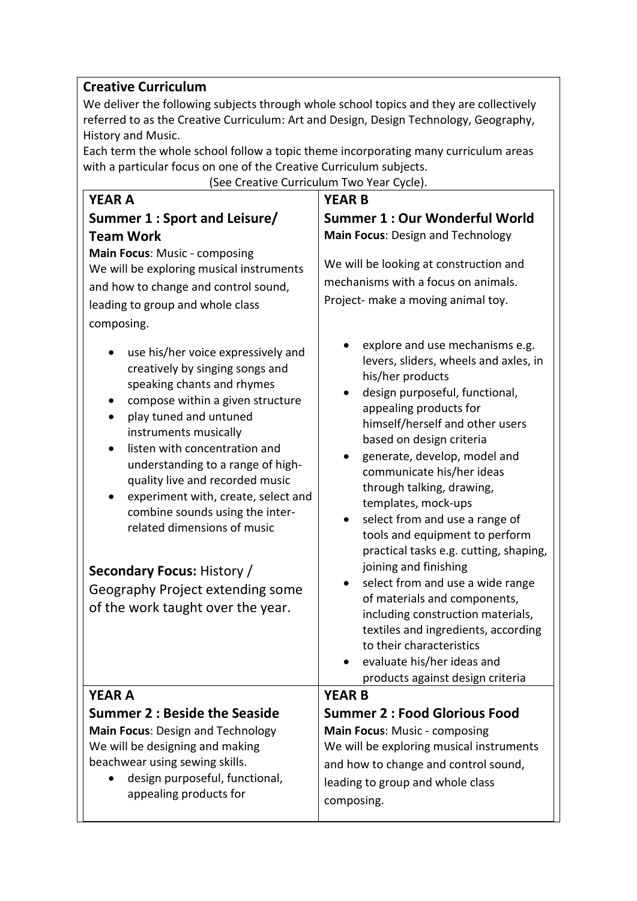## **Creative Curriculum**

We deliver the following subjects through whole school topics and they are collectively referred to as the Creative Curriculum: Art and Design, Design Technology, Geography, History and Music.

Each term the whole school follow a topic theme incorporating many curriculum areas with a particular focus on one of the Creative Curriculum subjects.

| (See Creative Curriculum Two Year Cycle).                                                                                                                                                                                                                                                                                                                                                                                                                                                                                                                                                                                                                                                                                      |                                                                                                                                                                                                                                                                                                                                                                                                                                                                                                                                                                                                                                                                                                                                |  |  |  |
|--------------------------------------------------------------------------------------------------------------------------------------------------------------------------------------------------------------------------------------------------------------------------------------------------------------------------------------------------------------------------------------------------------------------------------------------------------------------------------------------------------------------------------------------------------------------------------------------------------------------------------------------------------------------------------------------------------------------------------|--------------------------------------------------------------------------------------------------------------------------------------------------------------------------------------------------------------------------------------------------------------------------------------------------------------------------------------------------------------------------------------------------------------------------------------------------------------------------------------------------------------------------------------------------------------------------------------------------------------------------------------------------------------------------------------------------------------------------------|--|--|--|
| <b>YEAR A</b>                                                                                                                                                                                                                                                                                                                                                                                                                                                                                                                                                                                                                                                                                                                  | <b>YEAR B</b>                                                                                                                                                                                                                                                                                                                                                                                                                                                                                                                                                                                                                                                                                                                  |  |  |  |
| Summer 1 : Sport and Leisure/<br><b>Team Work</b><br>Main Focus: Music - composing<br>We will be exploring musical instruments<br>and how to change and control sound,<br>leading to group and whole class<br>composing.<br>use his/her voice expressively and<br>creatively by singing songs and<br>speaking chants and rhymes<br>compose within a given structure<br>play tuned and untuned<br>instruments musically<br>listen with concentration and<br>understanding to a range of high-<br>quality live and recorded music<br>experiment with, create, select and<br>$\bullet$<br>combine sounds using the inter-<br>related dimensions of music<br><b>Secondary Focus: History /</b><br>Geography Project extending some | Summer 1 : Our Wonderful World<br>Main Focus: Design and Technology<br>We will be looking at construction and<br>mechanisms with a focus on animals.<br>Project- make a moving animal toy.<br>explore and use mechanisms e.g.<br>levers, sliders, wheels and axles, in<br>his/her products<br>design purposeful, functional,<br>$\bullet$<br>appealing products for<br>himself/herself and other users<br>based on design criteria<br>generate, develop, model and<br>communicate his/her ideas<br>through talking, drawing,<br>templates, mock-ups<br>select from and use a range of<br>tools and equipment to perform<br>practical tasks e.g. cutting, shaping,<br>joining and finishing<br>select from and use a wide range |  |  |  |
| of the work taught over the year.                                                                                                                                                                                                                                                                                                                                                                                                                                                                                                                                                                                                                                                                                              | of materials and components,<br>including construction materials,<br>textiles and ingredients, according<br>to their characteristics<br>evaluate his/her ideas and<br>products against design criteria                                                                                                                                                                                                                                                                                                                                                                                                                                                                                                                         |  |  |  |
| <b>YEAR A</b>                                                                                                                                                                                                                                                                                                                                                                                                                                                                                                                                                                                                                                                                                                                  | <b>YEAR B</b>                                                                                                                                                                                                                                                                                                                                                                                                                                                                                                                                                                                                                                                                                                                  |  |  |  |
| Summer 2 : Beside the Seaside<br><b>Main Focus: Design and Technology</b><br>We will be designing and making<br>beachwear using sewing skills.<br>design purposeful, functional,<br>appealing products for                                                                                                                                                                                                                                                                                                                                                                                                                                                                                                                     | <b>Summer 2: Food Glorious Food</b><br>Main Focus: Music - composing<br>We will be exploring musical instruments<br>and how to change and control sound,<br>leading to group and whole class<br>composing.                                                                                                                                                                                                                                                                                                                                                                                                                                                                                                                     |  |  |  |